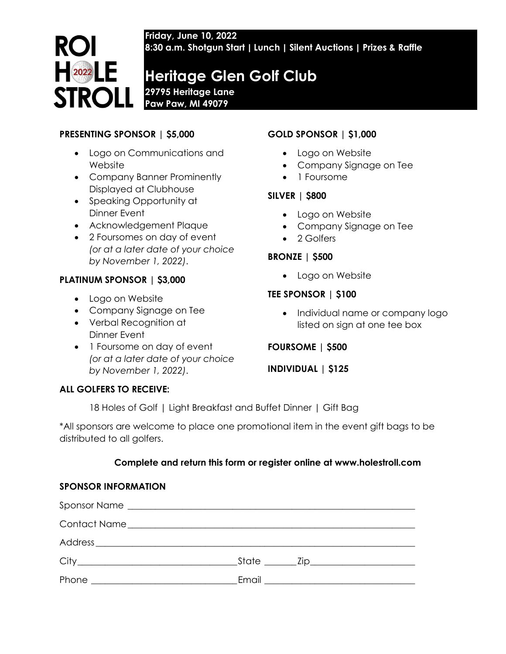**Friday, June 10, 2022 8:30 a.m. Shotgun Start | Lunch | Silent Auctions | Prizes & Raffle**

# **Heritage Glen Golf Club**

**29795 Heritage Lane Paw Paw, MI 49079**

### **PRESENTING SPONSOR | \$5,000**

**ROI** 

 $\begin{array}{|c|c|c|}\n\hline\n2022 & \multicolumn{1}{|c|}{\textbf{1}} \\
\hline\n\end{array}$ 

**STROLL** 

- Logo on Communications and Website
- Company Banner Prominently Displayed at Clubhouse
- Speaking Opportunity at Dinner Event
- Acknowledgement Plaque
- 2 Foursomes on day of event *(or at a later date of your choice by November 1, 2022)*.

#### **PLATINUM SPONSOR | \$3,000**

- Logo on Website
- Company Signage on Tee
- Verbal Recognition at Dinner Event
- 1 Foursome on day of event *(or at a later date of your choice by November 1, 2022)*.

## **GOLD SPONSOR | \$1,000**

- Logo on Website
- Company Signage on Tee
- 1 Foursome

#### **SILVER | \$800**

- Logo on Website
- Company Signage on Tee
- 2 Golfers

#### **BRONZE | \$500**

• Logo on Website

#### **TEE SPONSOR | \$100**

• Individual name or company logo listed on sign at one tee box

#### **FOURSOME | \$500**

**INDIVIDUAL | \$125**

#### **ALL GOLFERS TO RECEIVE:**

18 Holes of Golf | Light Breakfast and Buffet Dinner | Gift Bag

\*All sponsors are welcome to place one promotional item in the event gift bags to be distributed to all golfers.

#### **Complete and return this form or register online at www.holestroll.com**

#### **SPONSOR INFORMATION**